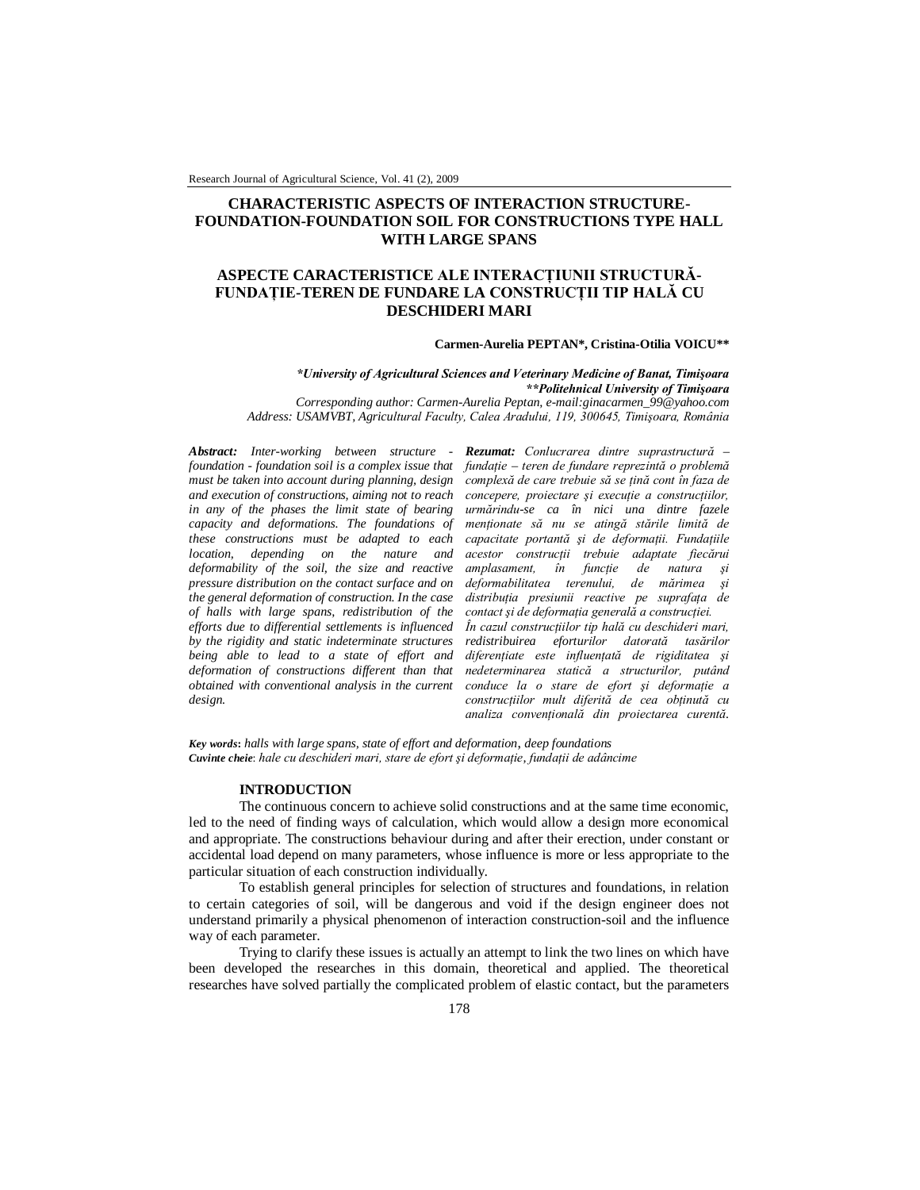Research Journal of Agricultural Science, Vol. 41 (2), 2009

# **CHARACTERISTIC ASPECTS OF INTERACTION STRUCTURE-FOUNDATION-FOUNDATION SOIL FOR CONSTRUCTIONS TYPE HALL WITH LARGE SPANS**

## **ASPECTE CARACTERISTICE ALE INTERACŢIUNII STRUCTURĂ-FUNDAŢIE-TEREN DE FUNDARE LA CONSTRUCŢII TIP HALĂ CU DESCHIDERI MARI**

#### **Carmen-Aurelia PEPTAN\*, Cristina-Otilia VOICU\*\***

*\*University of Agricultural Sciences and Veterinary Medicine of Banat, Timişoara \*\*Politehnical University of Timişoara Corresponding author: Carmen-Aurelia Peptan, e-mail:ginacarmen\_99@yahoo.com* 

*Address: USAMVBT, Agricultural Faculty, Calea Aradului, 119, 300645, Timişoara, România*

*Abstract: Inter-working between structure foundation - foundation soil is a complex issue that must be taken into account during planning, design and execution of constructions, aiming not to reach in any of the phases the limit state of bearing capacity and deformations. The foundations of these constructions must be adapted to each location, depending on the nature and deformability of the soil, the size and reactive pressure distribution on the contact surface and on the general deformation of construction. In the case of halls with large spans, redistribution of the efforts due to differential settlements is influenced by the rigidity and static indeterminate structures being able to lead to a state of effort and deformation of constructions different than that obtained with conventional analysis in the current design.*

*Rezumat: Conlucrarea dintre suprastructură – fundaţie – teren de fundare reprezintă o problemă complexă de care trebuie să se ţină cont în faza de concepere, proiectare şi execuţie a construcţiilor, urmărindu-se ca în nici una dintre fazele menţionate să nu se atingă stările limită de capacitate portantă şi de deformaţii. Fundaţiile acestor construcţii trebuie adaptate fiecărui amplasament, în funcţie de natura şi deformabilitatea terenului, de mărimea şi distribuţia presiunii reactive pe suprafaţa de contact şi de deformaţia generală a construcţiei. În cazul construcţiilor tip hală cu deschideri mari, redistribuirea eforturilor datorată tasărilor diferenţiate este influenţată de rigiditatea şi nedeterminarea statică a structurilor, putând conduce la o stare de efort şi deformaţie a* 

*construcţiilor mult diferită de cea obţinută cu analiza convenţională din proiectarea curentă.*

*Key words***:** *halls with large spans, state of effort and deformation*, *deep foundations Cuvinte cheie*: *hale cu deschideri mari, stare de efort şi deformaţie, fundaţii de adâncime*

### **INTRODUCTION**

The continuous concern to achieve solid constructions and at the same time economic, led to the need of finding ways of calculation, which would allow a design more economical and appropriate. The constructions behaviour during and after their erection, under constant or accidental load depend on many parameters, whose influence is more or less appropriate to the particular situation of each construction individually.

To establish general principles for selection of structures and foundations, in relation to certain categories of soil, will be dangerous and void if the design engineer does not understand primarily a physical phenomenon of interaction construction-soil and the influence way of each parameter.

Trying to clarify these issues is actually an attempt to link the two lines on which have been developed the researches in this domain, theoretical and applied. The theoretical researches have solved partially the complicated problem of elastic contact, but the parameters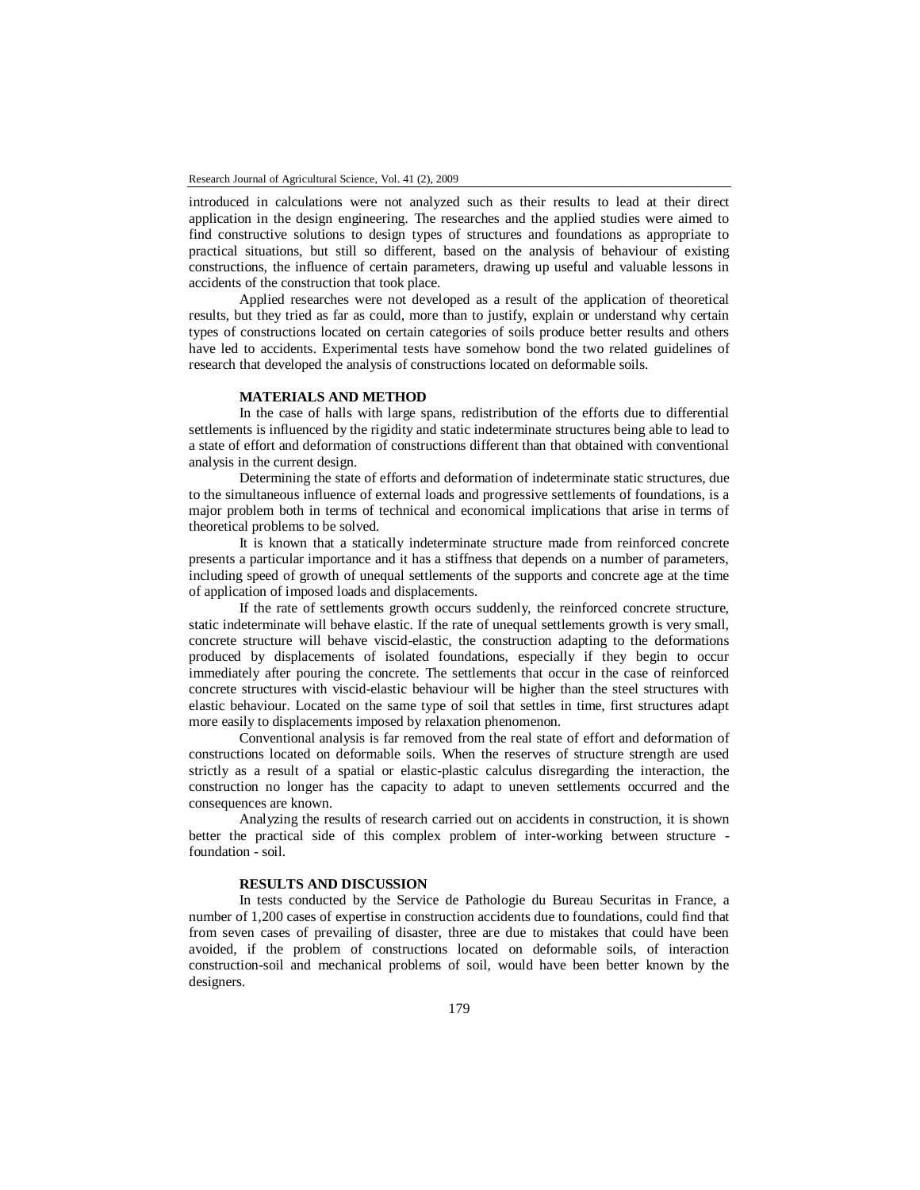introduced in calculations were not analyzed such as their results to lead at their direct application in the design engineering. The researches and the applied studies were aimed to find constructive solutions to design types of structures and foundations as appropriate to practical situations, but still so different, based on the analysis of behaviour of existing constructions, the influence of certain parameters, drawing up useful and valuable lessons in accidents of the construction that took place.

Applied researches were not developed as a result of the application of theoretical results, but they tried as far as could, more than to justify, explain or understand why certain types of constructions located on certain categories of soils produce better results and others have led to accidents. Experimental tests have somehow bond the two related guidelines of research that developed the analysis of constructions located on deformable soils.

### **MATERIALS AND METHOD**

In the case of halls with large spans, redistribution of the efforts due to differential settlements is influenced by the rigidity and static indeterminate structures being able to lead to a state of effort and deformation of constructions different than that obtained with conventional analysis in the current design.

Determining the state of efforts and deformation of indeterminate static structures, due to the simultaneous influence of external loads and progressive settlements of foundations, is a major problem both in terms of technical and economical implications that arise in terms of theoretical problems to be solved.

It is known that a statically indeterminate structure made from reinforced concrete presents a particular importance and it has a stiffness that depends on a number of parameters, including speed of growth of unequal settlements of the supports and concrete age at the time of application of imposed loads and displacements.

If the rate of settlements growth occurs suddenly, the reinforced concrete structure, static indeterminate will behave elastic. If the rate of unequal settlements growth is very small, concrete structure will behave viscid-elastic, the construction adapting to the deformations produced by displacements of isolated foundations, especially if they begin to occur immediately after pouring the concrete. The settlements that occur in the case of reinforced concrete structures with viscid-elastic behaviour will be higher than the steel structures with elastic behaviour. Located on the same type of soil that settles in time, first structures adapt more easily to displacements imposed by relaxation phenomenon.

Conventional analysis is far removed from the real state of effort and deformation of constructions located on deformable soils. When the reserves of structure strength are used strictly as a result of a spatial or elastic-plastic calculus disregarding the interaction, the construction no longer has the capacity to adapt to uneven settlements occurred and the consequences are known.

Analyzing the results of research carried out on accidents in construction, it is shown better the practical side of this complex problem of inter-working between structure foundation - soil.

## **RESULTS AND DISCUSSION**

In tests conducted by the Service de Pathologie du Bureau Securitas in France, a number of 1,200 cases of expertise in construction accidents due to foundations, could find that from seven cases of prevailing of disaster, three are due to mistakes that could have been avoided, if the problem of constructions located on deformable soils, of interaction construction-soil and mechanical problems of soil, would have been better known by the designers.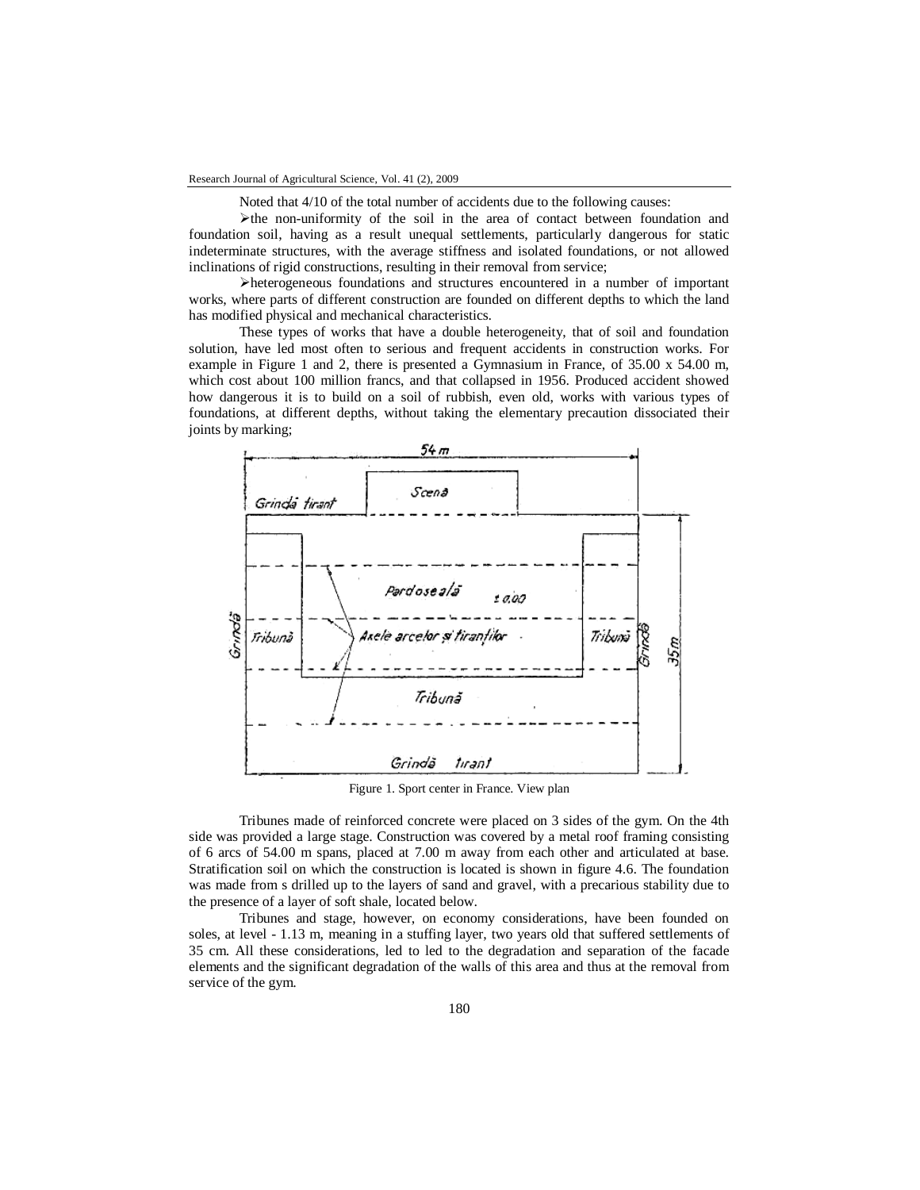Noted that 4/10 of the total number of accidents due to the following causes:

 $\blacktriangleright$  the non-uniformity of the soil in the area of contact between foundation and foundation soil, having as a result unequal settlements, particularly dangerous for static indeterminate structures, with the average stiffness and isolated foundations, or not allowed inclinations of rigid constructions, resulting in their removal from service;

heterogeneous foundations and structures encountered in a number of important works, where parts of different construction are founded on different depths to which the land has modified physical and mechanical characteristics.

These types of works that have a double heterogeneity, that of soil and foundation solution, have led most often to serious and frequent accidents in construction works. For example in Figure 1 and 2, there is presented a Gymnasium in France, of 35.00 x 54.00 m, which cost about 100 million francs, and that collapsed in 1956. Produced accident showed how dangerous it is to build on a soil of rubbish, even old, works with various types of foundations, at different depths, without taking the elementary precaution dissociated their joints by marking;



Figure 1. Sport center in France. View plan

Tribunes made of reinforced concrete were placed on 3 sides of the gym. On the 4th side was provided a large stage. Construction was covered by a metal roof framing consisting of 6 arcs of 54.00 m spans, placed at 7.00 m away from each other and articulated at base. Stratification soil on which the construction is located is shown in figure 4.6. The foundation was made from s drilled up to the layers of sand and gravel, with a precarious stability due to the presence of a layer of soft shale, located below.

Tribunes and stage, however, on economy considerations, have been founded on soles, at level - 1.13 m, meaning in a stuffing layer, two years old that suffered settlements of 35 cm. All these considerations, led to led to the degradation and separation of the facade elements and the significant degradation of the walls of this area and thus at the removal from service of the gym.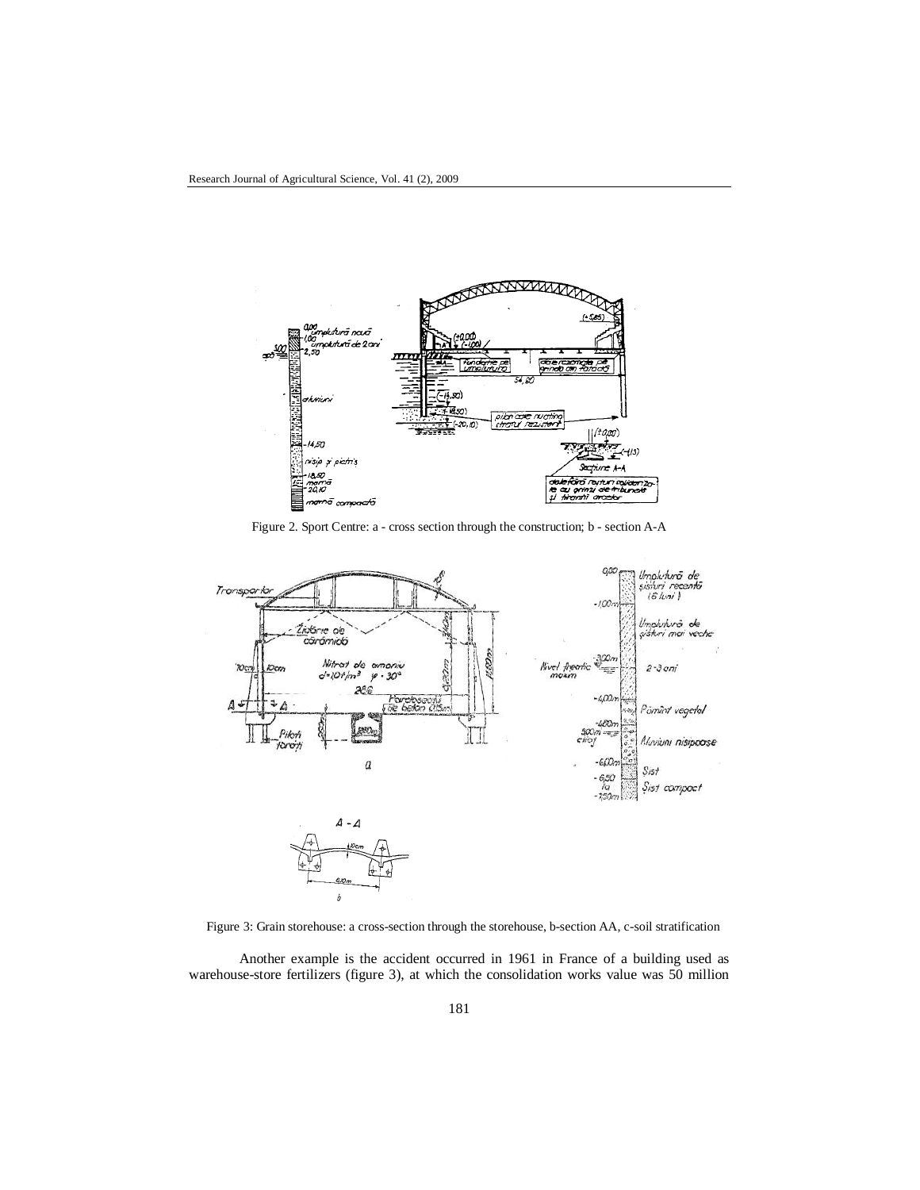

Figure 2. Sport Centre: a - cross section through the construction; b - section A-A



Figure 3: Grain storehouse: a cross-section through the storehouse, b-section AA, c-soil stratification

Another example is the accident occurred in 1961 in France of a building used as warehouse-store fertilizers (figure 3), at which the consolidation works value was 50 million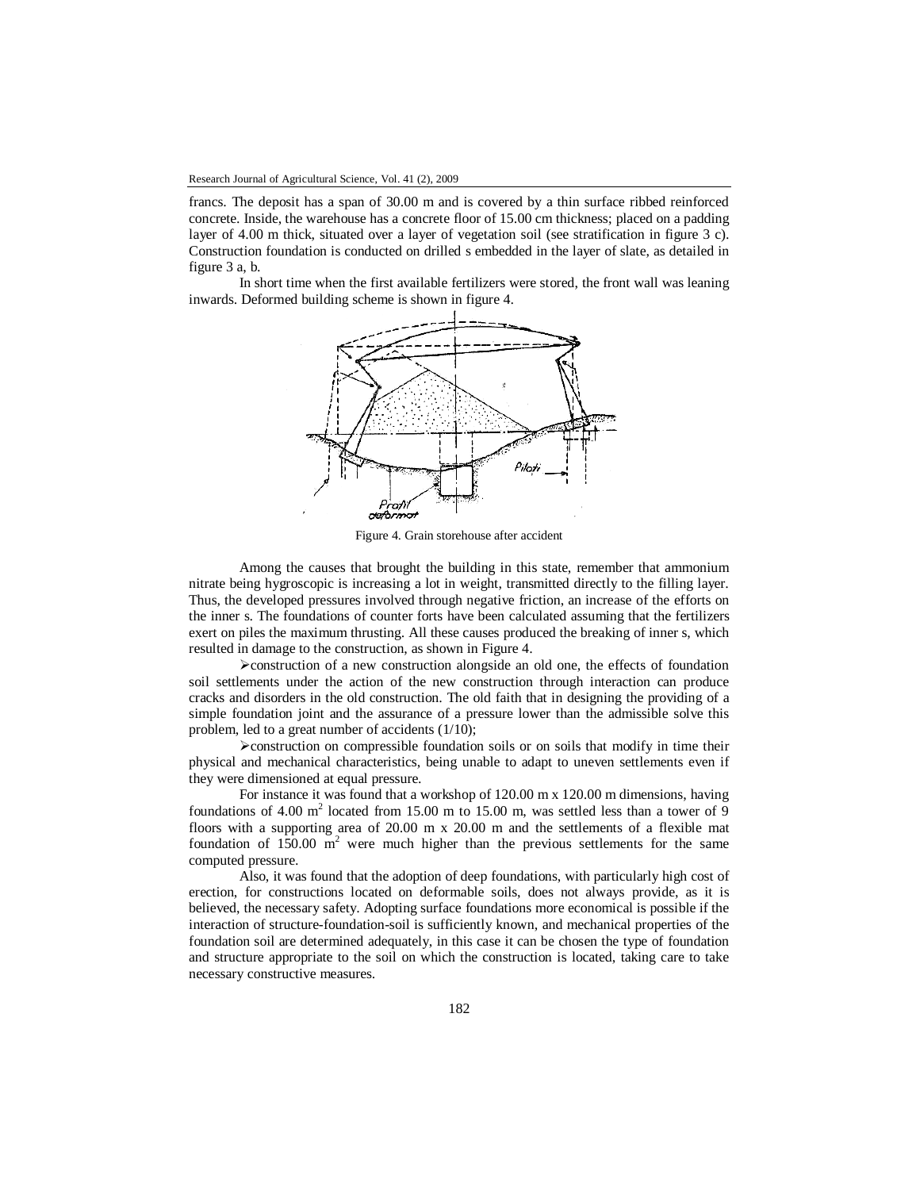francs. The deposit has a span of 30.00 m and is covered by a thin surface ribbed reinforced concrete. Inside, the warehouse has a concrete floor of 15.00 cm thickness; placed on a padding layer of 4.00 m thick, situated over a layer of vegetation soil (see stratification in figure 3 c). Construction foundation is conducted on drilled s embedded in the layer of slate, as detailed in figure 3 a, b.

In short time when the first available fertilizers were stored, the front wall was leaning inwards. Deformed building scheme is shown in figure 4.



Figure 4. Grain storehouse after accident

Among the causes that brought the building in this state, remember that ammonium nitrate being hygroscopic is increasing a lot in weight, transmitted directly to the filling layer. Thus, the developed pressures involved through negative friction, an increase of the efforts on the inner s. The foundations of counter forts have been calculated assuming that the fertilizers exert on piles the maximum thrusting. All these causes produced the breaking of inner s, which resulted in damage to the construction, as shown in Figure 4.

 $\triangleright$  construction of a new construction alongside an old one, the effects of foundation soil settlements under the action of the new construction through interaction can produce cracks and disorders in the old construction. The old faith that in designing the providing of a simple foundation joint and the assurance of a pressure lower than the admissible solve this problem, led to a great number of accidents (1/10);

 $\triangleright$  construction on compressible foundation soils or on soils that modify in time their physical and mechanical characteristics, being unable to adapt to uneven settlements even if they were dimensioned at equal pressure.

For instance it was found that a workshop of 120.00 m x 120.00 m dimensions, having foundations of 4.00  $m^2$  located from 15.00 m to 15.00 m, was settled less than a tower of 9 floors with a supporting area of 20.00 m x 20.00 m and the settlements of a flexible mat foundation of  $150.00 \text{ m}^2$  were much higher than the previous settlements for the same computed pressure.

Also, it was found that the adoption of deep foundations, with particularly high cost of erection, for constructions located on deformable soils, does not always provide, as it is believed, the necessary safety. Adopting surface foundations more economical is possible if the interaction of structure-foundation-soil is sufficiently known, and mechanical properties of the foundation soil are determined adequately, in this case it can be chosen the type of foundation and structure appropriate to the soil on which the construction is located, taking care to take necessary constructive measures.